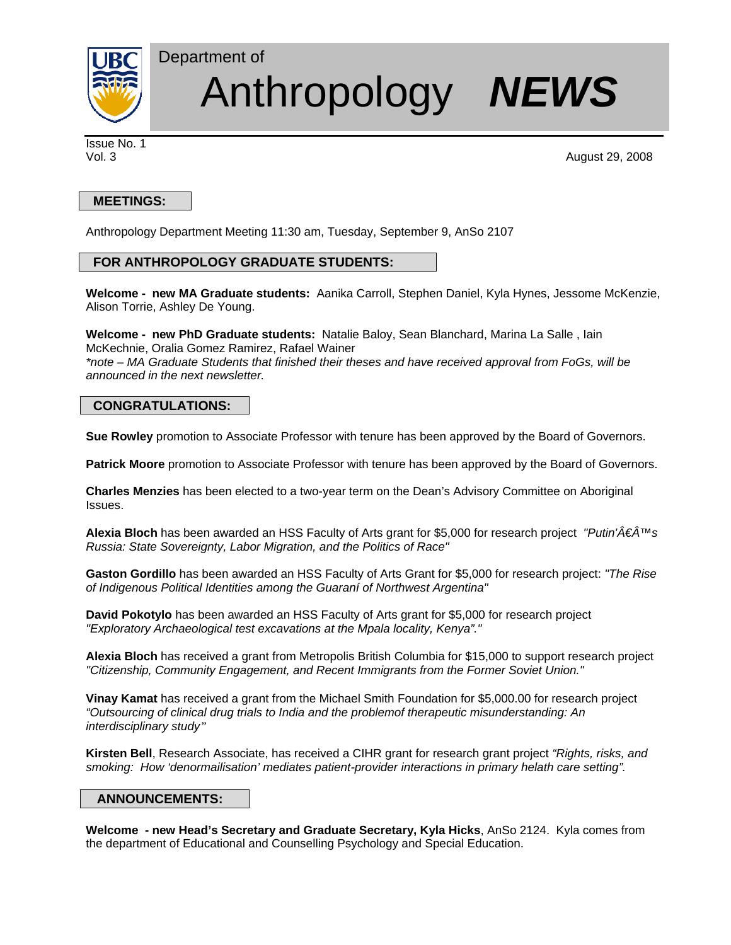

# Anthropology *NEWS*

Issue No. 1

Vol. 3 August 29, 2008

# **MEETINGS:**

Anthropology Department Meeting 11:30 am, Tuesday, September 9, AnSo 2107

## **FOR ANTHROPOLOGY GRADUATE STUDENTS:**

Department of

**Welcome - new MA Graduate students:** Aanika Carroll, Stephen Daniel, Kyla Hynes, Jessome McKenzie, Alison Torrie, Ashley De Young.

**Welcome - new PhD Graduate students:** Natalie Baloy, Sean Blanchard, Marina La Salle , Iain McKechnie, Oralia Gomez Ramirez, Rafael Wainer

*\*note – MA Graduate Students that finished their theses and have received approval from FoGs, will be announced in the next newsletter.* 

## **CONGRATULATIONS:**

**Sue Rowley** promotion to Associate Professor with tenure has been approved by the Board of Governors.

**Patrick Moore** promotion to Associate Professor with tenure has been approved by the Board of Governors.

**Charles Menzies** has been elected to a two-year term on the Dean's Advisory Committee on Aboriginal Issues.

**Alexia Bloch** has been awarded an HSS Faculty of Arts grant for \$5,000 for research project *"Putin'€™s Russia: State Sovereignty, Labor Migration, and the Politics of Race"* 

**Gaston Gordillo** has been awarded an HSS Faculty of Arts Grant for \$5,000 for research project: *"The Rise of Indigenous Political Identities among the Guaraní of Northwest Argentina"* 

**David Pokotylo** has been awarded an HSS Faculty of Arts grant for \$5,000 for research project *"Exploratory Archaeological test excavations at the Mpala locality, Kenya"."* 

**Alexia Bloch** has received a grant from Metropolis British Columbia for \$15,000 to support research project *"Citizenship, Community Engagement, and Recent Immigrants from the Former Soviet Union."* 

**Vinay Kamat** has received a grant from the Michael Smith Foundation for \$5,000.00 for research project *"Outsourcing of clinical drug trials to India and the problemof therapeutic misunderstanding: An interdisciplinary study"* 

**Kirsten Bell**, Research Associate, has received a CIHR grant for research grant project *"Rights, risks, and smoking: How 'denormailisation' mediates patient-provider interactions in primary helath care setting".* 

## **ANNOUNCEMENTS:**

**Welcome - new Head's Secretary and Graduate Secretary, Kyla Hicks**, AnSo 2124. Kyla comes from the department of Educational and Counselling Psychology and Special Education.